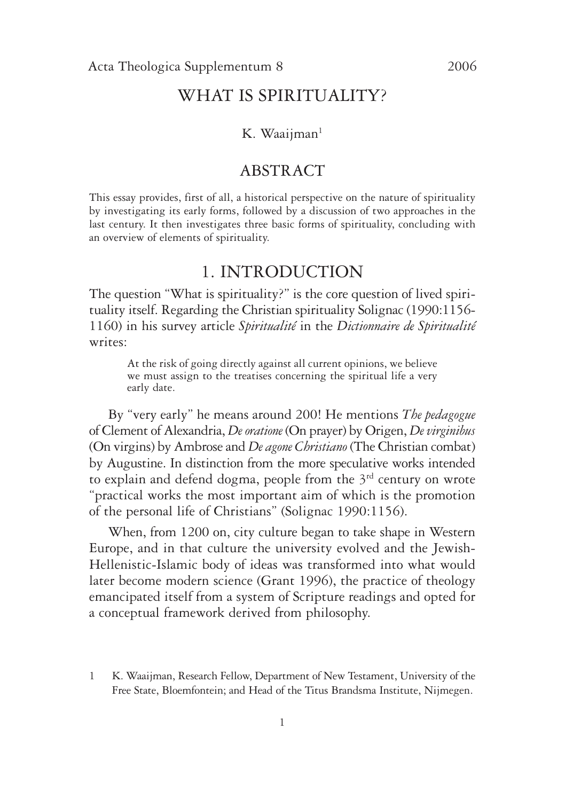# WHAT IS SPIRITUALITY?

# K. Waaijman $<sup>1</sup>$ </sup>

# ABSTRACT

This essay provides, first of all, a historical perspective on the nature of spirituality by investigating its early forms, followed by a discussion of two approaches in the last century. It then investigates three basic forms of spirituality, concluding with an overview of elements of spirituality.

# 1. INTRODUCTION

The question "What is spirituality?" is the core question of lived spirituality itself. Regarding the Christian spirituality Solignac (1990:1156- 1160) in his survey article *Spiritualité* in the *Dictionnaire de Spiritualité* writes:

At the risk of going directly against all current opinions, we believe we must assign to the treatises concerning the spiritual life a very early date.

By "very early" he means around 200! He mentions *The pedagogue* of Clement of Alexandria, *De oratione* (On prayer) by Origen, *De virginibus* (On virgins) by Ambrose and *De agone Christiano* (The Christian combat) by Augustine. In distinction from the more speculative works intended to explain and defend dogma, people from the 3<sup>rd</sup> century on wrote "practical works the most important aim of which is the promotion of the personal life of Christians" (Solignac 1990:1156).

When, from 1200 on, city culture began to take shape in Western Europe, and in that culture the university evolved and the Jewish-Hellenistic-Islamic body of ideas was transformed into what would later become modern science (Grant 1996), the practice of theology emancipated itself from a system of Scripture readings and opted for a conceptual framework derived from philosophy.

<sup>1</sup> K. Waaijman, Research Fellow, Department of New Testament, University of the Free State, Bloemfontein; and Head of the Titus Brandsma Institute, Nijmegen.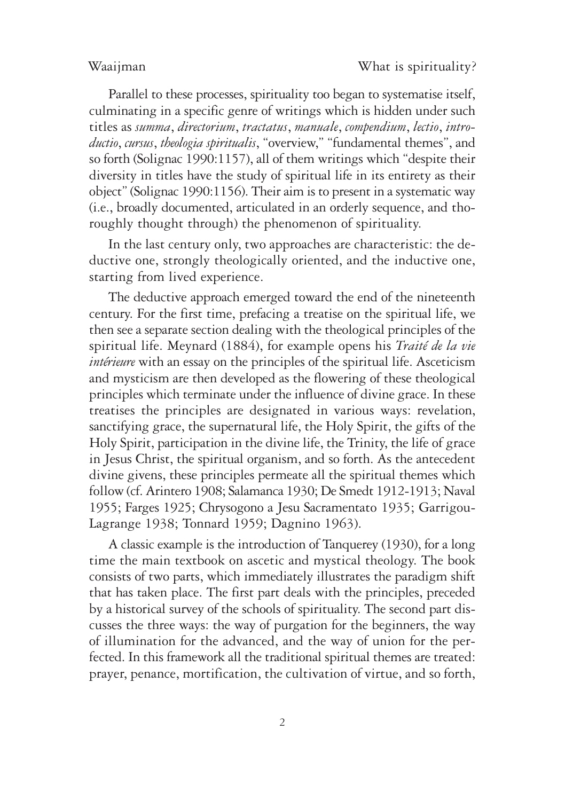Parallel to these processes, spirituality too began to systematise itself, culminating in a specific genre of writings which is hidden under such titles as *summa*, *directorium*, *tractatus*, *manuale*, *compendium*, *lectio*, *introductio*, *cursus*, *theologia spiritualis*, "overview," "fundamental themes", and so forth (Solignac 1990:1157), all of them writings which "despite their diversity in titles have the study of spiritual life in its entirety as their object" (Solignac 1990:1156). Their aim is to present in a systematic way (i.e., broadly documented, articulated in an orderly sequence, and thoroughly thought through) the phenomenon of spirituality.

In the last century only, two approaches are characteristic: the deductive one, strongly theologically oriented, and the inductive one, starting from lived experience.

The deductive approach emerged toward the end of the nineteenth century. For the first time, prefacing a treatise on the spiritual life, we then see a separate section dealing with the theological principles of the spiritual life. Meynard (1884), for example opens his *Traité de la vie intérieure* with an essay on the principles of the spiritual life. Asceticism and mysticism are then developed as the flowering of these theological principles which terminate under the influence of divine grace. In these treatises the principles are designated in various ways: revelation, sanctifying grace, the supernatural life, the Holy Spirit, the gifts of the Holy Spirit, participation in the divine life, the Trinity, the life of grace in Jesus Christ, the spiritual organism, and so forth. As the antecedent divine givens, these principles permeate all the spiritual themes which follow (cf. Arintero 1908; Salamanca 1930; De Smedt 1912-1913; Naval 1955; Farges 1925; Chrysogono a Jesu Sacramentato 1935; Garrigou-Lagrange 1938; Tonnard 1959; Dagnino 1963).

A classic example is the introduction of Tanquerey (1930), for a long time the main textbook on ascetic and mystical theology. The book consists of two parts, which immediately illustrates the paradigm shift that has taken place. The first part deals with the principles, preceded by a historical survey of the schools of spirituality. The second part discusses the three ways: the way of purgation for the beginners, the way of illumination for the advanced, and the way of union for the perfected. In this framework all the traditional spiritual themes are treated: prayer, penance, mortification, the cultivation of virtue, and so forth,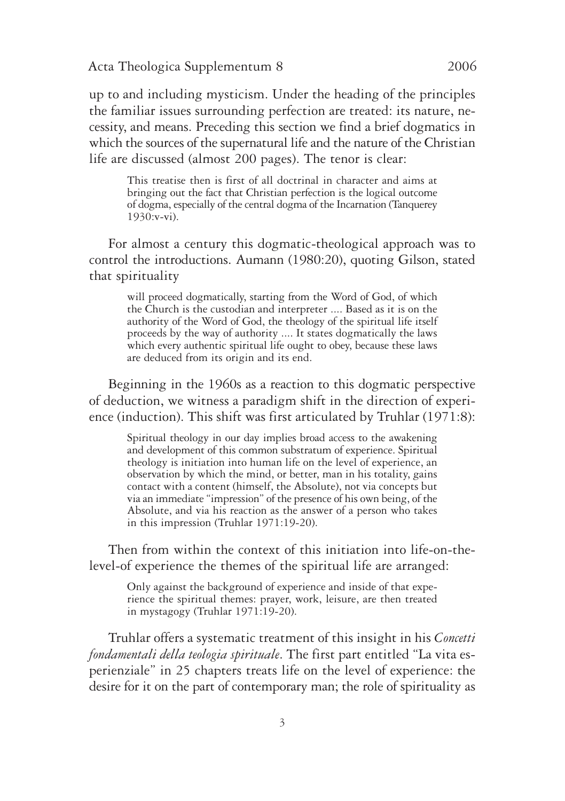up to and including mysticism. Under the heading of the principles the familiar issues surrounding perfection are treated: its nature, necessity, and means. Preceding this section we find a brief dogmatics in which the sources of the supernatural life and the nature of the Christian life are discussed (almost 200 pages). The tenor is clear:

> This treatise then is first of all doctrinal in character and aims at bringing out the fact that Christian perfection is the logical outcome of dogma, especially of the central dogma of the Incarnation (Tanquerey 1930:v-vi).

For almost a century this dogmatic-theological approach was to control the introductions. Aumann (1980:20), quoting Gilson, stated that spirituality

will proceed dogmatically, starting from the Word of God, of which the Church is the custodian and interpreter .... Based as it is on the authority of the Word of God, the theology of the spiritual life itself proceeds by the way of authority .... It states dogmatically the laws which every authentic spiritual life ought to obey, because these laws are deduced from its origin and its end.

Beginning in the 1960s as a reaction to this dogmatic perspective of deduction, we witness a paradigm shift in the direction of experience (induction). This shift was first articulated by Truhlar (1971:8):

Spiritual theology in our day implies broad access to the awakening and development of this common substratum of experience. Spiritual theology is initiation into human life on the level of experience, an observation by which the mind, or better, man in his totality, gains contact with a content (himself, the Absolute), not via concepts but via an immediate "impression" of the presence of his own being, of the Absolute, and via his reaction as the answer of a person who takes in this impression (Truhlar 1971:19-20).

Then from within the context of this initiation into life-on-thelevel-of experience the themes of the spiritual life are arranged:

Only against the background of experience and inside of that experience the spiritual themes: prayer, work, leisure, are then treated in mystagogy (Truhlar 1971:19-20).

Truhlar offers a systematic treatment of this insight in his *Concetti fondamentali della teologia spirituale*. The first part entitled "La vita esperienziale" in 25 chapters treats life on the level of experience: the desire for it on the part of contemporary man; the role of spirituality as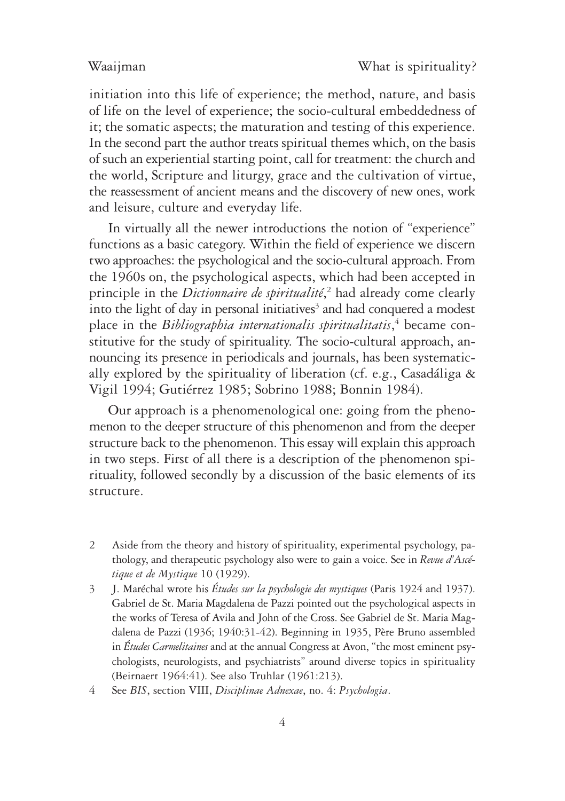initiation into this life of experience; the method, nature, and basis of life on the level of experience; the socio-cultural embeddedness of it; the somatic aspects; the maturation and testing of this experience. In the second part the author treats spiritual themes which, on the basis of such an experiential starting point, call for treatment: the church and the world, Scripture and liturgy, grace and the cultivation of virtue, the reassessment of ancient means and the discovery of new ones, work and leisure, culture and everyday life.

In virtually all the newer introductions the notion of "experience" functions as a basic category. Within the field of experience we discern two approaches: the psychological and the socio-cultural approach. From the 1960s on, the psychological aspects, which had been accepted in principle in the *Dictionnaire de spiritualité*, <sup>2</sup> had already come clearly into the light of day in personal initiatives<sup>3</sup> and had conquered a modest place in the *Bibliographia internationalis spiritualitatis*, <sup>4</sup> became constitutive for the study of spirituality. The socio-cultural approach, announcing its presence in periodicals and journals, has been systematically explored by the spirituality of liberation (cf. e.g., Casadáliga & Vigil 1994; Gutiérrez 1985; Sobrino 1988; Bonnin 1984).

Our approach is a phenomenological one: going from the phenomenon to the deeper structure of this phenomenon and from the deeper structure back to the phenomenon. This essay will explain this approach in two steps. First of all there is a description of the phenomenon spirituality, followed secondly by a discussion of the basic elements of its structure.

- 2 Aside from the theory and history of spirituality, experimental psychology, pathology, and therapeutic psychology also were to gain a voice. See in *Revue d'Ascétique et de Mystique* 10 (1929).
- 3 J. Maréchal wrote his *Études sur la psychologie des mystiques* (Paris 1924 and 1937). Gabriel de St. Maria Magdalena de Pazzi pointed out the psychological aspects in the works of Teresa of Avila and John of the Cross. See Gabriel de St. Maria Magdalena de Pazzi (1936; 1940:31-42). Beginning in 1935, Père Bruno assembled in *Études Carmelitaines* and at the annual Congress at Avon, "the most eminent psychologists, neurologists, and psychiatrists" around diverse topics in spirituality (Beirnaert 1964:41). See also Truhlar (1961:213).
- 4 See *BIS*, section VIII, *Disciplinae Adnexae*, no. 4: *Psychologia*.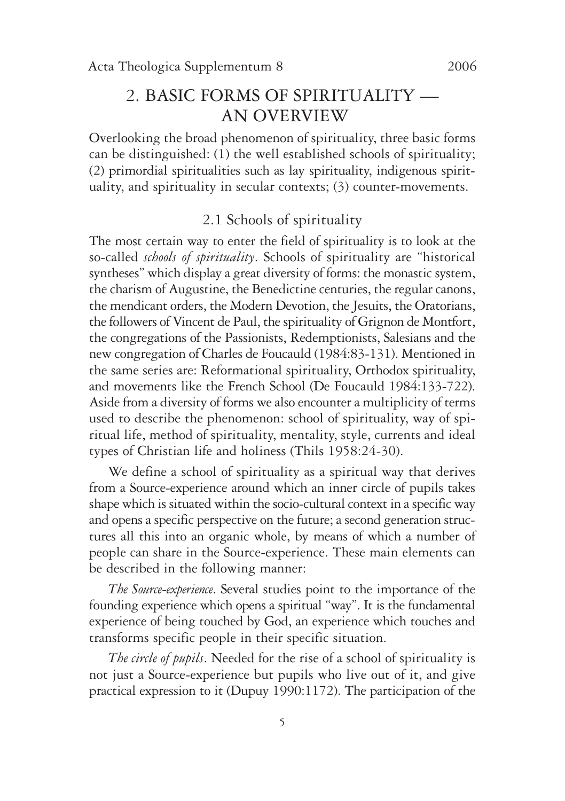# 2. BASIC FORMS OF SPIRITUALITY — AN OVERVIEW

Overlooking the broad phenomenon of spirituality, three basic forms can be distinguished: (1) the well established schools of spirituality; (2) primordial spiritualities such as lay spirituality, indigenous spirituality, and spirituality in secular contexts; (3) counter-movements.

# 2.1 Schools of spirituality

The most certain way to enter the field of spirituality is to look at the so-called *schools of spirituality*. Schools of spirituality are "historical syntheses" which display a great diversity of forms: the monastic system, the charism of Augustine, the Benedictine centuries, the regular canons, the mendicant orders, the Modern Devotion, the Jesuits, the Oratorians, the followers of Vincent de Paul, the spirituality of Grignon de Montfort, the congregations of the Passionists, Redemptionists, Salesians and the new congregation of Charles de Foucauld (1984:83-131). Mentioned in the same series are: Reformational spirituality, Orthodox spirituality, and movements like the French School (De Foucauld 1984:133-722). Aside from a diversity of forms we also encounter a multiplicity of terms used to describe the phenomenon: school of spirituality, way of spiritual life, method of spirituality, mentality, style, currents and ideal types of Christian life and holiness (Thils 1958:24-30).

We define a school of spirituality as a spiritual way that derives from a Source-experience around which an inner circle of pupils takes shape which is situated within the socio-cultural context in a specific way and opens a specific perspective on the future; a second generation structures all this into an organic whole, by means of which a number of people can share in the Source-experience. These main elements can be described in the following manner:

*The Source-experience*. Several studies point to the importance of the founding experience which opens a spiritual "way". It is the fundamental experience of being touched by God, an experience which touches and transforms specific people in their specific situation.

*The circle of pupils*. Needed for the rise of a school of spirituality is not just a Source-experience but pupils who live out of it, and give practical expression to it (Dupuy 1990:1172). The participation of the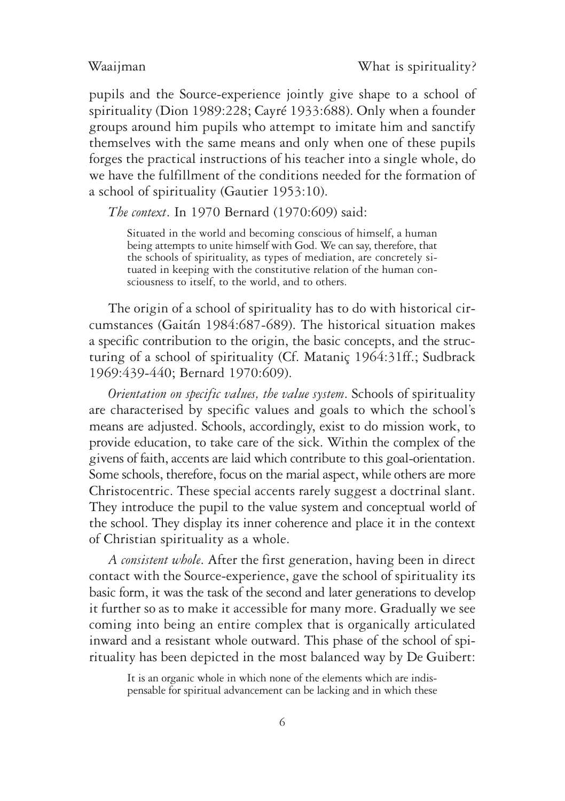pupils and the Source-experience jointly give shape to a school of spirituality (Dion 1989:228; Cayré 1933:688). Only when a founder groups around him pupils who attempt to imitate him and sanctify themselves with the same means and only when one of these pupils forges the practical instructions of his teacher into a single whole, do we have the fulfillment of the conditions needed for the formation of a school of spirituality (Gautier 1953:10).

*The context*. In 1970 Bernard (1970:609) said:

Situated in the world and becoming conscious of himself, a human being attempts to unite himself with God. We can say, therefore, that the schools of spirituality, as types of mediation, are concretely situated in keeping with the constitutive relation of the human consciousness to itself, to the world, and to others.

The origin of a school of spirituality has to do with historical circumstances (Gaitán 1984:687-689). The historical situation makes a specific contribution to the origin, the basic concepts, and the structuring of a school of spirituality (Cf. Mataniç 1964:31ff.; Sudbrack 1969:439-440; Bernard 1970:609).

*Orientation on specific values, the value system*. Schools of spirituality are characterised by specific values and goals to which the school's means are adjusted. Schools, accordingly, exist to do mission work, to provide education, to take care of the sick. Within the complex of the givens of faith, accents are laid which contribute to this goal-orientation. Some schools, therefore, focus on the marial aspect, while others are more Christocentric. These special accents rarely suggest a doctrinal slant. They introduce the pupil to the value system and conceptual world of the school. They display its inner coherence and place it in the context of Christian spirituality as a whole.

*A consistent whole*. After the first generation, having been in direct contact with the Source-experience, gave the school of spirituality its basic form, it was the task of the second and later generations to develop it further so as to make it accessible for many more. Gradually we see coming into being an entire complex that is organically articulated inward and a resistant whole outward. This phase of the school of spirituality has been depicted in the most balanced way by De Guibert:

It is an organic whole in which none of the elements which are indispensable for spiritual advancement can be lacking and in which these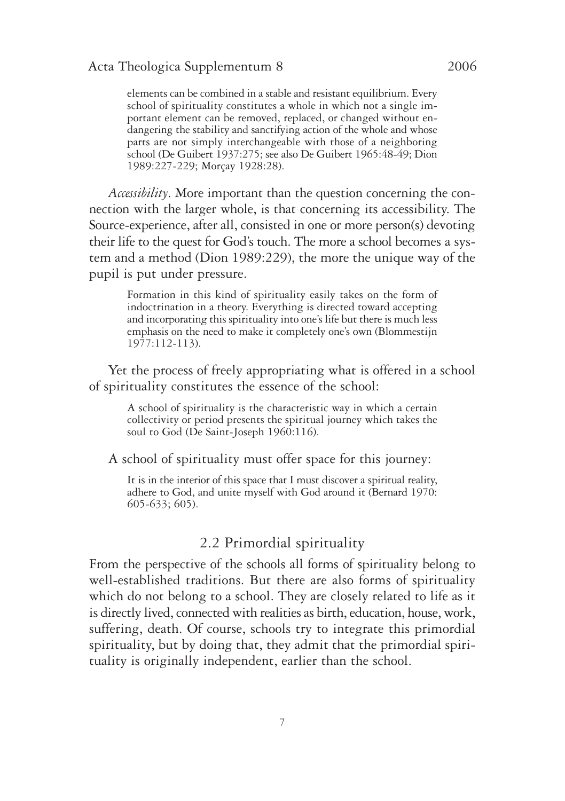elements can be combined in a stable and resistant equilibrium. Every school of spirituality constitutes a whole in which not a single important element can be removed, replaced, or changed without endangering the stability and sanctifying action of the whole and whose parts are not simply interchangeable with those of a neighboring school (De Guibert 1937:275; see also De Guibert 1965:48-49; Dion 1989:227-229; Morçay 1928:28).

*Accessibility*. More important than the question concerning the connection with the larger whole, is that concerning its accessibility. The Source-experience, after all, consisted in one or more person(s) devoting their life to the quest for God's touch. The more a school becomes a system and a method (Dion 1989:229), the more the unique way of the pupil is put under pressure.

Formation in this kind of spirituality easily takes on the form of indoctrination in a theory. Everything is directed toward accepting and incorporating this spirituality into one's life but there is much less emphasis on the need to make it completely one's own (Blommestijn 1977:112-113).

Yet the process of freely appropriating what is offered in a school of spirituality constitutes the essence of the school:

A school of spirituality is the characteristic way in which a certain collectivity or period presents the spiritual journey which takes the soul to God (De Saint-Joseph 1960:116).

A school of spirituality must offer space for this journey:

It is in the interior of this space that I must discover a spiritual reality, adhere to God, and unite myself with God around it (Bernard 1970: 605-633; 605).

# 2.2 Primordial spirituality

From the perspective of the schools all forms of spirituality belong to well-established traditions. But there are also forms of spirituality which do not belong to a school. They are closely related to life as it is directly lived, connected with realities as birth, education, house, work, suffering, death. Of course, schools try to integrate this primordial spirituality, but by doing that, they admit that the primordial spirituality is originally independent, earlier than the school.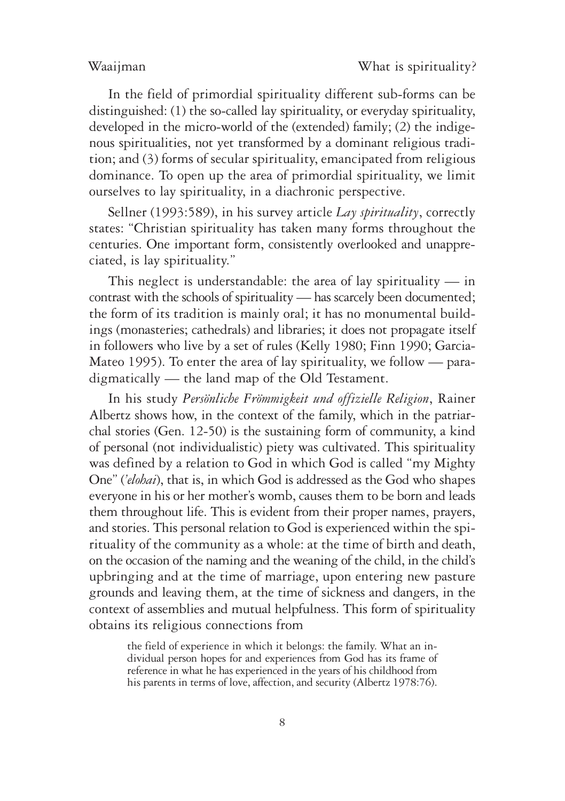In the field of primordial spirituality different sub-forms can be distinguished: (1) the so-called lay spirituality, or everyday spirituality, developed in the micro-world of the (extended) family; (2) the indigenous spiritualities, not yet transformed by a dominant religious tradition; and (3) forms of secular spirituality, emancipated from religious dominance. To open up the area of primordial spirituality, we limit ourselves to lay spirituality, in a diachronic perspective.

Sellner (1993:589), in his survey article *Lay spirituality*, correctly states: "Christian spirituality has taken many forms throughout the centuries. One important form, consistently overlooked and unappreciated, is lay spirituality."

This neglect is understandable: the area of lay spirituality  $-$  in contrast with the schools of spirituality — has scarcely been documented; the form of its tradition is mainly oral; it has no monumental buildings (monasteries; cathedrals) and libraries; it does not propagate itself in followers who live by a set of rules (Kelly 1980; Finn 1990; Garcia-Mateo 1995). To enter the area of lay spirituality, we follow — paradigmatically — the land map of the Old Testament.

In his study *Persönliche Frömmigkeit und offizielle Religion*, Rainer Albertz shows how, in the context of the family, which in the patriarchal stories (Gen. 12-50) is the sustaining form of community, a kind of personal (not individualistic) piety was cultivated. This spirituality was defined by a relation to God in which God is called "my Mighty One" (*'elohai*), that is, in which God is addressed as the God who shapes everyone in his or her mother's womb, causes them to be born and leads them throughout life. This is evident from their proper names, prayers, and stories. This personal relation to God is experienced within the spirituality of the community as a whole: at the time of birth and death, on the occasion of the naming and the weaning of the child, in the child's upbringing and at the time of marriage, upon entering new pasture grounds and leaving them, at the time of sickness and dangers, in the context of assemblies and mutual helpfulness. This form of spirituality obtains its religious connections from

the field of experience in which it belongs: the family. What an individual person hopes for and experiences from God has its frame of reference in what he has experienced in the years of his childhood from his parents in terms of love, affection, and security (Albertz 1978:76).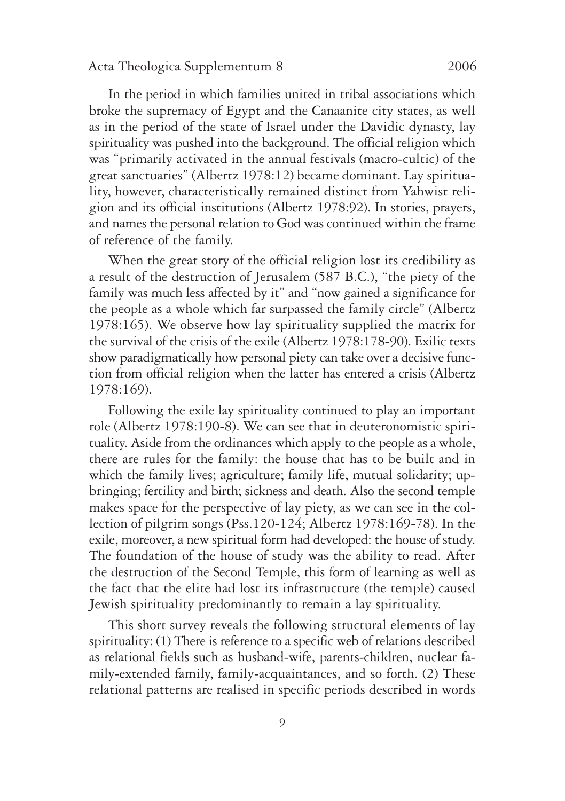# Acta Theologica Supplementum 8 2006

In the period in which families united in tribal associations which broke the supremacy of Egypt and the Canaanite city states, as well as in the period of the state of Israel under the Davidic dynasty, lay spirituality was pushed into the background. The official religion which was "primarily activated in the annual festivals (macro-cultic) of the great sanctuaries" (Albertz 1978:12) became dominant. Lay spirituality, however, characteristically remained distinct from Yahwist religion and its official institutions (Albertz 1978:92). In stories, prayers, and names the personal relation to God was continued within the frame of reference of the family.

When the great story of the official religion lost its credibility as a result of the destruction of Jerusalem (587 B.C.), "the piety of the family was much less affected by it" and "now gained a significance for the people as a whole which far surpassed the family circle" (Albertz 1978:165). We observe how lay spirituality supplied the matrix for the survival of the crisis of the exile (Albertz 1978:178-90). Exilic texts show paradigmatically how personal piety can take over a decisive function from official religion when the latter has entered a crisis (Albertz 1978:169).

Following the exile lay spirituality continued to play an important role (Albertz 1978:190-8). We can see that in deuteronomistic spirituality. Aside from the ordinances which apply to the people as a whole, there are rules for the family: the house that has to be built and in which the family lives; agriculture; family life, mutual solidarity; upbringing; fertility and birth; sickness and death. Also the second temple makes space for the perspective of lay piety, as we can see in the collection of pilgrim songs (Pss.120-124; Albertz 1978:169-78). In the exile, moreover, a new spiritual form had developed: the house of study. The foundation of the house of study was the ability to read. After the destruction of the Second Temple, this form of learning as well as the fact that the elite had lost its infrastructure (the temple) caused Jewish spirituality predominantly to remain a lay spirituality.

This short survey reveals the following structural elements of lay spirituality: (1) There is reference to a specific web of relations described as relational fields such as husband-wife, parents-children, nuclear family-extended family, family-acquaintances, and so forth. (2) These relational patterns are realised in specific periods described in words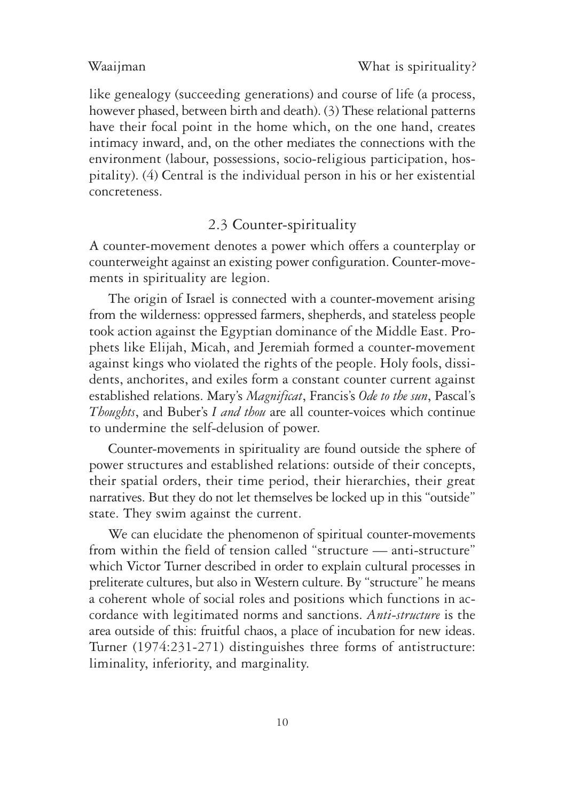like genealogy (succeeding generations) and course of life (a process, however phased, between birth and death). (3) These relational patterns have their focal point in the home which, on the one hand, creates intimacy inward, and, on the other mediates the connections with the environment (labour, possessions, socio-religious participation, hospitality). (4) Central is the individual person in his or her existential concreteness.

# 2.3 Counter-spirituality

A counter-movement denotes a power which offers a counterplay or counterweight against an existing power configuration. Counter-movements in spirituality are legion.

The origin of Israel is connected with a counter-movement arising from the wilderness: oppressed farmers, shepherds, and stateless people took action against the Egyptian dominance of the Middle East. Prophets like Elijah, Micah, and Jeremiah formed a counter-movement against kings who violated the rights of the people. Holy fools, dissidents, anchorites, and exiles form a constant counter current against established relations. Mary's *Magnificat*, Francis's *Ode to the sun*, Pascal's *Thoughts*, and Buber's *I and thou* are all counter-voices which continue to undermine the self-delusion of power.

Counter-movements in spirituality are found outside the sphere of power structures and established relations: outside of their concepts, their spatial orders, their time period, their hierarchies, their great narratives. But they do not let themselves be locked up in this "outside" state. They swim against the current.

We can elucidate the phenomenon of spiritual counter-movements from within the field of tension called "structure — anti-structure" which Victor Turner described in order to explain cultural processes in preliterate cultures, but also in Western culture. By "structure" he means a coherent whole of social roles and positions which functions in accordance with legitimated norms and sanctions. *Anti-structure* is the area outside of this: fruitful chaos, a place of incubation for new ideas. Turner (1974:231-271) distinguishes three forms of antistructure: liminality, inferiority, and marginality.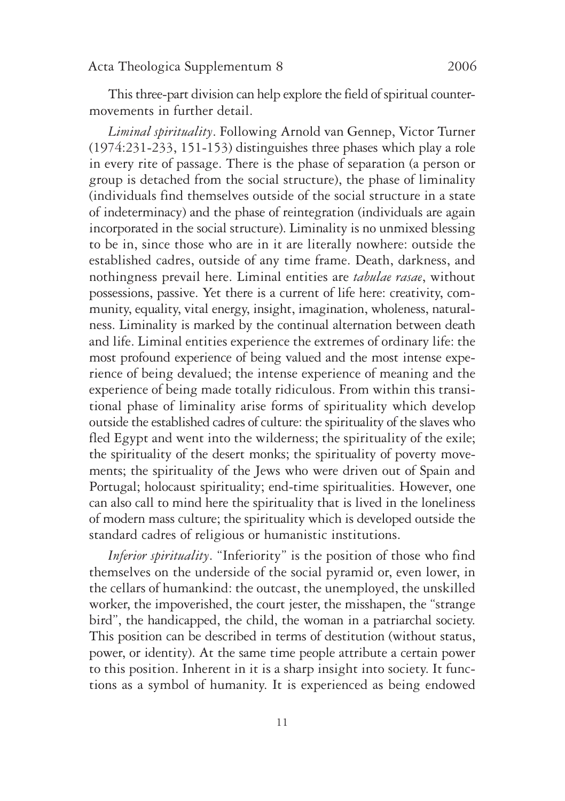This three-part division can help explore the field of spiritual countermovements in further detail.

*Liminal spirituality*. Following Arnold van Gennep, Victor Turner (1974:231-233, 151-153) distinguishes three phases which play a role in every rite of passage. There is the phase of separation (a person or group is detached from the social structure), the phase of liminality (individuals find themselves outside of the social structure in a state of indeterminacy) and the phase of reintegration (individuals are again incorporated in the social structure). Liminality is no unmixed blessing to be in, since those who are in it are literally nowhere: outside the established cadres, outside of any time frame. Death, darkness, and nothingness prevail here. Liminal entities are *tabulae rasae*, without possessions, passive. Yet there is a current of life here: creativity, community, equality, vital energy, insight, imagination, wholeness, naturalness. Liminality is marked by the continual alternation between death and life. Liminal entities experience the extremes of ordinary life: the most profound experience of being valued and the most intense experience of being devalued; the intense experience of meaning and the experience of being made totally ridiculous. From within this transitional phase of liminality arise forms of spirituality which develop outside the established cadres of culture: the spirituality of the slaves who fled Egypt and went into the wilderness; the spirituality of the exile; the spirituality of the desert monks; the spirituality of poverty movements; the spirituality of the Jews who were driven out of Spain and Portugal; holocaust spirituality; end-time spiritualities. However, one can also call to mind here the spirituality that is lived in the loneliness of modern mass culture; the spirituality which is developed outside the standard cadres of religious or humanistic institutions.

*Inferior spirituality*. "Inferiority" is the position of those who find themselves on the underside of the social pyramid or, even lower, in the cellars of humankind: the outcast, the unemployed, the unskilled worker, the impoverished, the court jester, the misshapen, the "strange bird", the handicapped, the child, the woman in a patriarchal society. This position can be described in terms of destitution (without status, power, or identity). At the same time people attribute a certain power to this position. Inherent in it is a sharp insight into society. It functions as a symbol of humanity. It is experienced as being endowed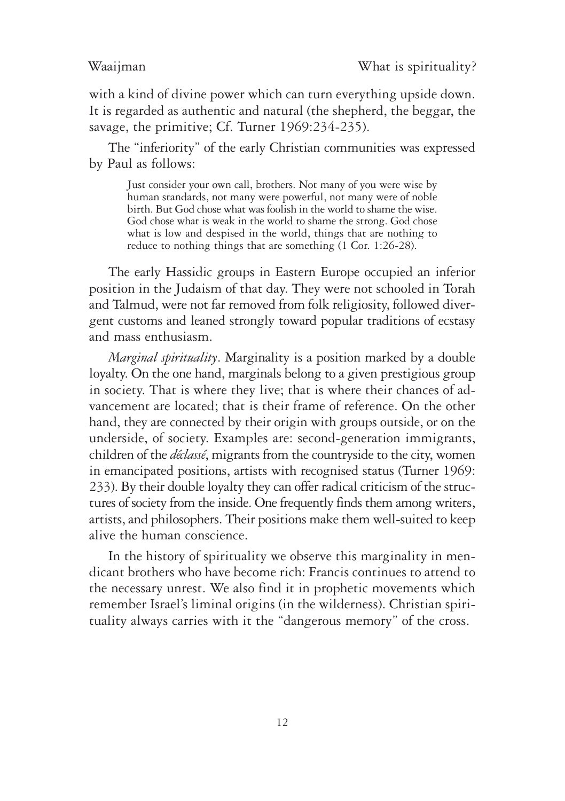with a kind of divine power which can turn everything upside down. It is regarded as authentic and natural (the shepherd, the beggar, the savage, the primitive; Cf. Turner 1969:234-235).

The "inferiority" of the early Christian communities was expressed by Paul as follows:

Just consider your own call, brothers. Not many of you were wise by human standards, not many were powerful, not many were of noble birth. But God chose what was foolish in the world to shame the wise. God chose what is weak in the world to shame the strong. God chose what is low and despised in the world, things that are nothing to reduce to nothing things that are something (1 Cor. 1:26-28).

The early Hassidic groups in Eastern Europe occupied an inferior position in the Judaism of that day. They were not schooled in Torah and Talmud, were not far removed from folk religiosity, followed divergent customs and leaned strongly toward popular traditions of ecstasy and mass enthusiasm.

*Marginal spirituality*. Marginality is a position marked by a double loyalty. On the one hand, marginals belong to a given prestigious group in society. That is where they live; that is where their chances of advancement are located; that is their frame of reference. On the other hand, they are connected by their origin with groups outside, or on the underside, of society. Examples are: second-generation immigrants, children of the *déclassé*, migrants from the countryside to the city, women in emancipated positions, artists with recognised status (Turner 1969: 233). By their double loyalty they can offer radical criticism of the structures of society from the inside. One frequently finds them among writers, artists, and philosophers. Their positions make them well-suited to keep alive the human conscience.

In the history of spirituality we observe this marginality in mendicant brothers who have become rich: Francis continues to attend to the necessary unrest. We also find it in prophetic movements which remember Israel's liminal origins (in the wilderness). Christian spirituality always carries with it the "dangerous memory" of the cross.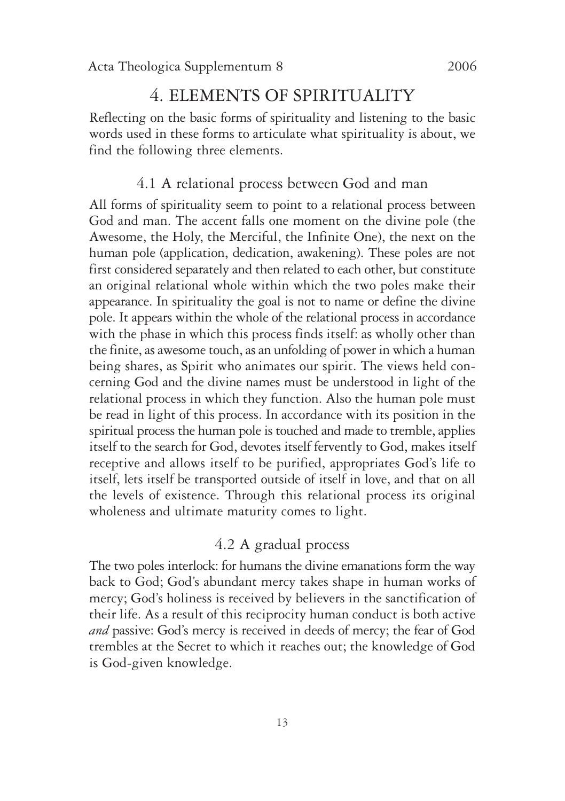# 4. ELEMENTS OF SPIRITUALITY

Reflecting on the basic forms of spirituality and listening to the basic words used in these forms to articulate what spirituality is about, we find the following three elements.

# 4.1 A relational process between God and man

All forms of spirituality seem to point to a relational process between God and man. The accent falls one moment on the divine pole (the Awesome, the Holy, the Merciful, the Infinite One), the next on the human pole (application, dedication, awakening). These poles are not first considered separately and then related to each other, but constitute an original relational whole within which the two poles make their appearance. In spirituality the goal is not to name or define the divine pole. It appears within the whole of the relational process in accordance with the phase in which this process finds itself: as wholly other than the finite, as awesome touch, as an unfolding of power in which a human being shares, as Spirit who animates our spirit. The views held concerning God and the divine names must be understood in light of the relational process in which they function. Also the human pole must be read in light of this process. In accordance with its position in the spiritual process the human pole is touched and made to tremble, applies itself to the search for God, devotes itself fervently to God, makes itself receptive and allows itself to be purified, appropriates God's life to itself, lets itself be transported outside of itself in love, and that on all the levels of existence. Through this relational process its original wholeness and ultimate maturity comes to light.

# 4.2 A gradual process

The two poles interlock: for humans the divine emanations form the way back to God; God's abundant mercy takes shape in human works of mercy; God's holiness is received by believers in the sanctification of their life. As a result of this reciprocity human conduct is both active *and* passive: God's mercy is received in deeds of mercy; the fear of God trembles at the Secret to which it reaches out; the knowledge of God is God-given knowledge.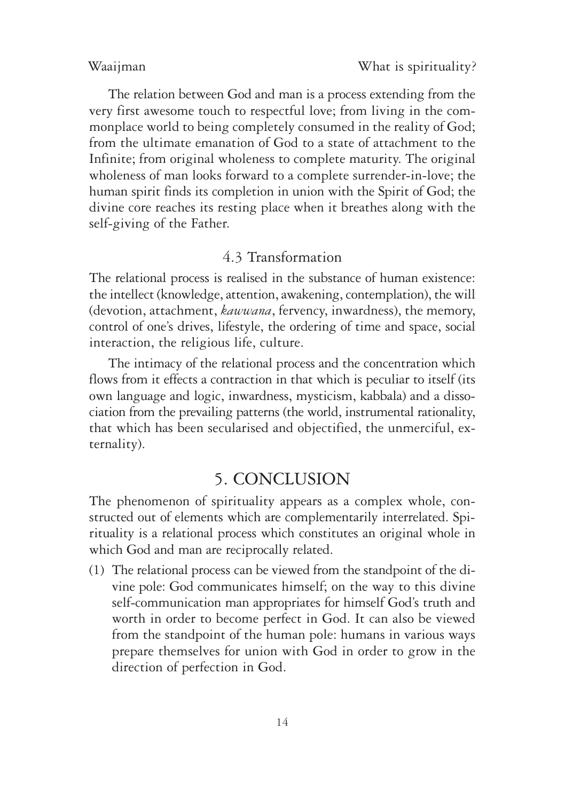The relation between God and man is a process extending from the very first awesome touch to respectful love; from living in the commonplace world to being completely consumed in the reality of God; from the ultimate emanation of God to a state of attachment to the Infinite; from original wholeness to complete maturity. The original wholeness of man looks forward to a complete surrender-in-love; the human spirit finds its completion in union with the Spirit of God; the divine core reaches its resting place when it breathes along with the self-giving of the Father.

# 4.3 Transformation

The relational process is realised in the substance of human existence: the intellect (knowledge, attention, awakening, contemplation), the will (devotion, attachment, *kawwana*, fervency, inwardness), the memory, control of one's drives, lifestyle, the ordering of time and space, social interaction, the religious life, culture.

The intimacy of the relational process and the concentration which flows from it effects a contraction in that which is peculiar to itself (its own language and logic, inwardness, mysticism, kabbala) and a dissociation from the prevailing patterns (the world, instrumental rationality, that which has been secularised and objectified, the unmerciful, externality).

# 5. CONCLUSION

The phenomenon of spirituality appears as a complex whole, constructed out of elements which are complementarily interrelated. Spirituality is a relational process which constitutes an original whole in which God and man are reciprocally related.

(1) The relational process can be viewed from the standpoint of the divine pole: God communicates himself; on the way to this divine self-communication man appropriates for himself God's truth and worth in order to become perfect in God. It can also be viewed from the standpoint of the human pole: humans in various ways prepare themselves for union with God in order to grow in the direction of perfection in God.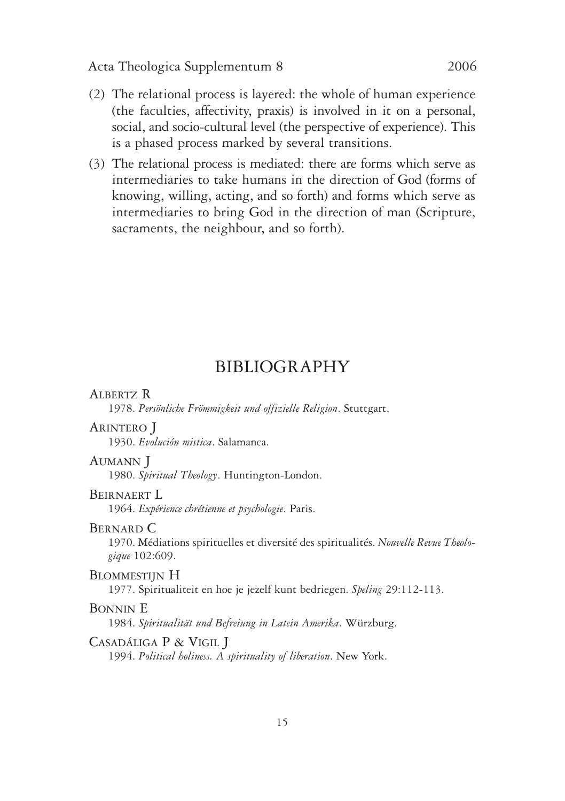Acta Theologica Supplementum 8 2006

- (2) The relational process is layered: the whole of human experience (the faculties, affectivity, praxis) is involved in it on a personal, social, and socio-cultural level (the perspective of experience). This is a phased process marked by several transitions.
- (3) The relational process is mediated: there are forms which serve as intermediaries to take humans in the direction of God (forms of knowing, willing, acting, and so forth) and forms which serve as intermediaries to bring God in the direction of man (Scripture, sacraments, the neighbour, and so forth).

# BIBLIOGRAPHY

## ALBERTZ R

1978. *Persönliche Frömmigkeit und offizielle Religion*. Stuttgart.

#### ARINTERO J

1930. *Evolución mistica*. Salamanca.

#### AUMANN I

1980. *Spiritual Theology*. Huntington-London.

## BEIRNAERT L

1964. *Expérience chrétienne et psychologie*. Paris.

## BERNARD C

1970. Médiations spirituelles et diversité des spiritualités. *Nouvelle Revue Theologique* 102:609.

## BLOMMESTIJN H

1977. Spiritualiteit en hoe je jezelf kunt bedriegen. *Speling* 29:112-113.

## BONNIN E

1984. *Spiritualität und Befreiung in Latein Amerika*. Würzburg.

# CASADÁLIGA P & VIGIL J

1994. *Political holiness. A spirituality of liberation*. New York.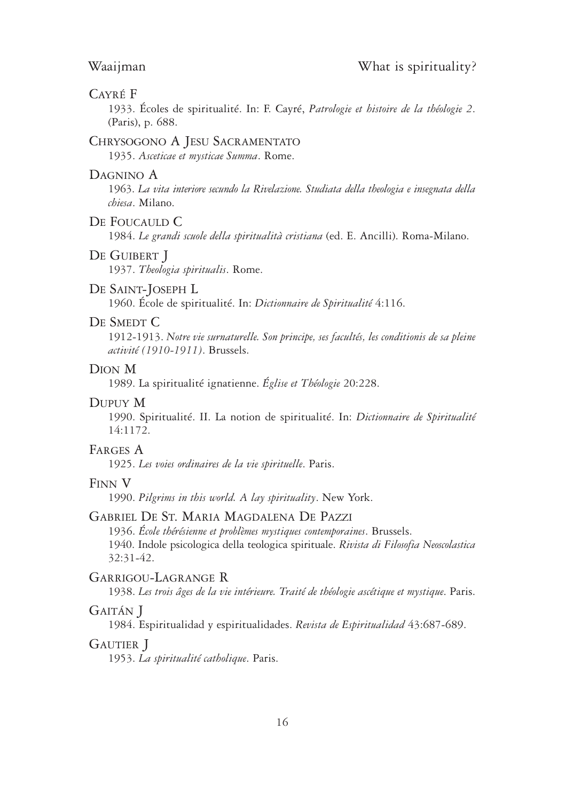# CAYRÉ F

1933. Écoles de spiritualité. In: F. Cayré, *Patrologie et histoire de la théologie 2*. (Paris), p. 688.

## CHRYSOGONO A JESU SACRAMENTATO

1935. *Asceticae et mysticae Summa*. Rome.

## DAGNINO A

1963. *La vita interiore secundo la Rivelazione. Studiata della theologia e insegnata della chiesa*. Milano.

## DE FOUCAULD C

1984. *Le grandi scuole della spiritualità cristiana* (ed. E. Ancilli). Roma-Milano.

#### DE GUIBERT I

1937. *Theologia spiritualis*. Rome.

## DE SAINT-JOSEPH L

1960. École de spiritualité. In: *Dictionnaire de Spiritualité* 4:116.

# DE SMEDT C

1912-1913. *Notre vie surnaturelle. Son principe, ses facultés, les conditionis de sa pleine activité (1910-1911)*. Brussels.

## DION M

1989. La spiritualité ignatienne. *Église et Théologie* 20:228.

### DUPUY M

1990. Spiritualité. II. La notion de spiritualité. In: *Dictionnaire de Spiritualité* 14:1172.

## FARGES A

1925. *Les voies ordinaires de la vie spirituelle*. Paris.

### FINN V

1990. *Pilgrims in this world. A lay spirituality*. New York.

# GABRIEL DE ST. MARIA MAGDALENA DE PAZZI

1936. *École thérésienne et problèmes mystiques contemporaines*. Brussels. 1940. Indole psicologica della teologica spirituale. *Rivista di Filosofia Neoscolastica* 32:31-42.

## GARRIGOU-LAGRANGE R

1938. *Les trois âges de la vie intérieure. Traité de théologie ascétique et mystique*. Paris.

#### GAITÁN J

1984. Espiritualidad y espiritualidades. *Revista de Espiritualidad* 43:687-689.

## GAUTIER J

1953. *La spiritualité catholique*. Paris.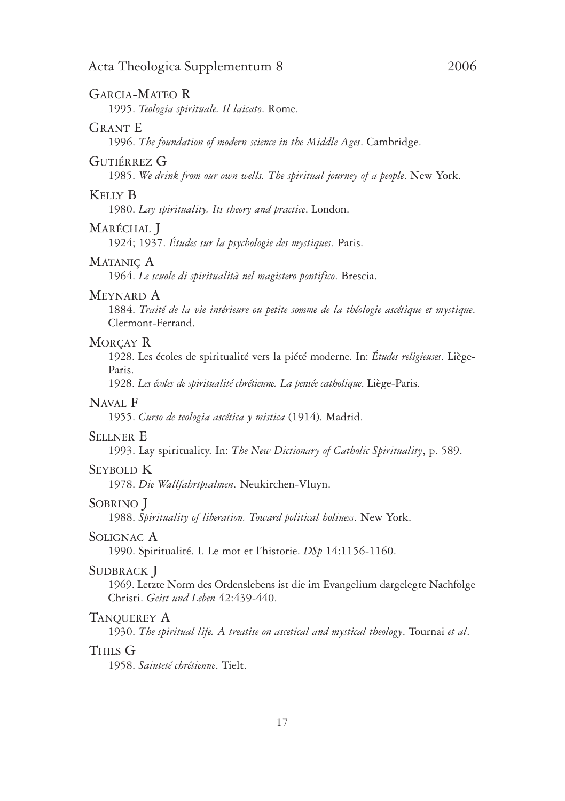# Acta Theologica Supplementum 8 2006

# GARCIA-MATEO R

1995. *Teologia spirituale. Il laicato*. Rome.

## GRANT E

1996. *The foundation of modern science in the Middle Ages*. Cambridge.

#### GUTIÉRREZ G

1985. *We drink from our own wells. The spiritual journey of a people*. New York.

### KELLY B

1980. *Lay spirituality. Its theory and practice*. London.

# MARÉCHAL J

1924; 1937. *Études sur la psychologie des mystiques*. Paris.

# MATANIÇ A

1964. *Le scuole di spiritualità nel magistero pontifico*. Brescia.

## MEYNARD A

1884. *Traité de la vie intérieure ou petite somme de la théologie ascétique et mystique*. Clermont-Ferrand.

#### MORÇAY R

1928. Les écoles de spiritualité vers la piété moderne. In: *Études religieuses*. Liège-Paris.

1928. *Les écoles de spiritualité chrétienne. La pensée catholique*. Liège-Paris.

# NAVAL F

1955. *Curso de teologia ascética y mistica* (1914). Madrid.

### SELLNER E

1993. Lay spirituality. In: *The New Dictionary of Catholic Spirituality*, p. 589.

### SEYBOLD K

1978. *Die Wallfahrtpsalmen*. Neukirchen-Vluyn.

## SOBRINO J

1988. *Spirituality of liberation. Toward political holiness*. New York.

## SOLIGNAC A

1990. Spiritualité. I. Le mot et l'historie. *DSp* 14:1156-1160.

#### SUDBRACK J

1969. Letzte Norm des Ordenslebens ist die im Evangelium dargelegte Nachfolge Christi. *Geist und Leben* 42:439-440.

### TANQUEREY A

1930. *The spiritual life. A treatise on ascetical and mystical theology*. Tournai *et al*.

# THILS G

1958. *Sainteté chrétienne*. Tielt.